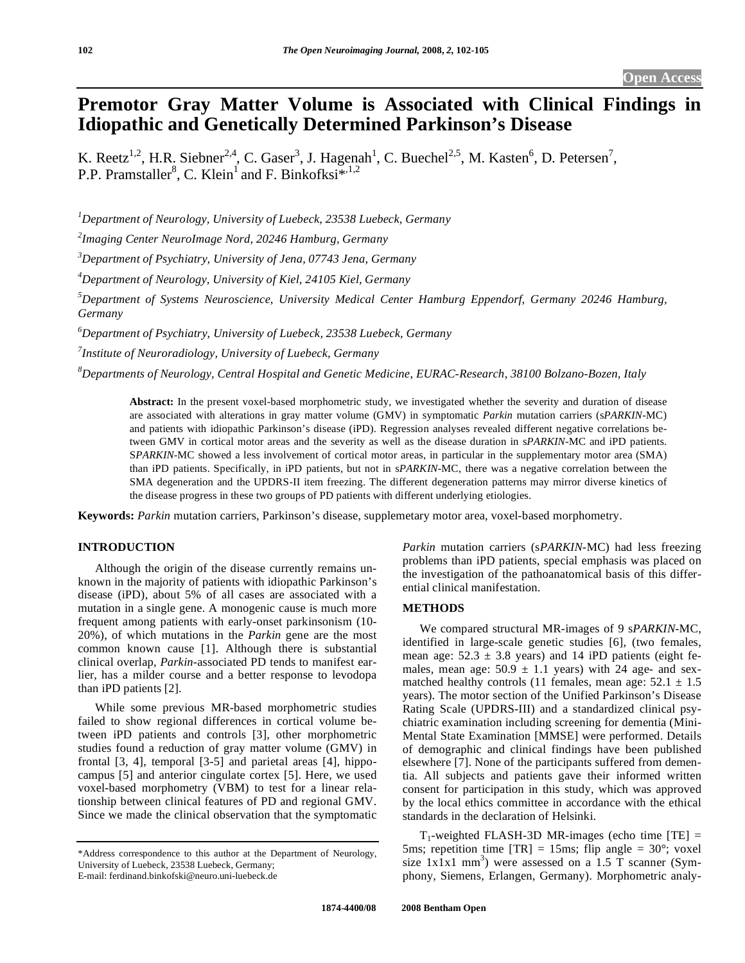# **Premotor Gray Matter Volume is Associated with Clinical Findings in Idiopathic and Genetically Determined Parkinson's Disease**

K. Reetz<sup>1,2</sup>, H.R. Siebner<sup>2,4</sup>, C. Gaser<sup>3</sup>, J. Hagenah<sup>1</sup>, C. Buechel<sup>2,5</sup>, M. Kasten<sup>6</sup>, D. Petersen<sup>7</sup>, P.P. Pramstaller<sup>8</sup>, C. Klein<sup>1</sup> and F. Binkofksi<sup>\*,1,2</sup>

*1 Department of Neurology, University of Luebeck, 23538 Luebeck, Germany* 

*2 Imaging Center NeuroImage Nord, 20246 Hamburg, Germany* 

*3 Department of Psychiatry, University of Jena, 07743 Jena, Germany* 

*4 Department of Neurology, University of Kiel, 24105 Kiel, Germany* 

*5 Department of Systems Neuroscience, University Medical Center Hamburg Eppendorf, Germany 20246 Hamburg, Germany* 

*6 Department of Psychiatry, University of Luebeck, 23538 Luebeck, Germany* 

*7 Institute of Neuroradiology, University of Luebeck, Germany* 

*8 Departments of Neurology, Central Hospital and Genetic Medicine, EURAC-Research, 38100 Bolzano-Bozen, Italy* 

**Abstract:** In the present voxel-based morphometric study, we investigated whether the severity and duration of disease are associated with alterations in gray matter volume (GMV) in symptomatic *Parkin* mutation carriers (s*PARKIN*-MC) and patients with idiopathic Parkinson's disease (iPD). Regression analyses revealed different negative correlations between GMV in cortical motor areas and the severity as well as the disease duration in s*PARKIN*-MC and iPD patients. S*PARKIN*-MC showed a less involvement of cortical motor areas, in particular in the supplementary motor area (SMA) than iPD patients. Specifically, in iPD patients, but not in s*PARKIN*-MC, there was a negative correlation between the SMA degeneration and the UPDRS-II item freezing. The different degeneration patterns may mirror diverse kinetics of the disease progress in these two groups of PD patients with different underlying etiologies.

**Keywords:** *Parkin* mutation carriers, Parkinson's disease, supplemetary motor area, voxel-based morphometry.

## **INTRODUCTION**

 Although the origin of the disease currently remains unknown in the majority of patients with idiopathic Parkinson's disease (iPD), about 5% of all cases are associated with a mutation in a single gene. A monogenic cause is much more frequent among patients with early-onset parkinsonism (10- 20%), of which mutations in the *Parkin* gene are the most common known cause [1]. Although there is substantial clinical overlap, *Parkin*-associated PD tends to manifest earlier, has a milder course and a better response to levodopa than iPD patients [2].

 While some previous MR-based morphometric studies failed to show regional differences in cortical volume between iPD patients and controls [3], other morphometric studies found a reduction of gray matter volume (GMV) in frontal [3, 4], temporal [3-5] and parietal areas [4], hippocampus [5] and anterior cingulate cortex [5]. Here, we used voxel-based morphometry (VBM) to test for a linear relationship between clinical features of PD and regional GMV. Since we made the clinical observation that the symptomatic

E-mail: ferdinand.binkofski@neuro.uni-luebeck.de

*Parkin* mutation carriers (s*PARKIN-*MC) had less freezing problems than iPD patients, special emphasis was placed on the investigation of the pathoanatomical basis of this differential clinical manifestation.

## **METHODS**

 We compared structural MR-images of 9 s*PARKIN-*MC, identified in large-scale genetic studies [6], (two females, mean age:  $52.3 \pm 3.8$  years) and 14 iPD patients (eight females, mean age:  $50.9 \pm 1.1$  years) with 24 age- and sexmatched healthy controls (11 females, mean age:  $52.1 \pm 1.5$ years). The motor section of the Unified Parkinson's Disease Rating Scale (UPDRS-III) and a standardized clinical psychiatric examination including screening for dementia (Mini-Mental State Examination [MMSE] were performed. Details of demographic and clinical findings have been published elsewhere [7]. None of the participants suffered from dementia. All subjects and patients gave their informed written consent for participation in this study, which was approved by the local ethics committee in accordance with the ethical standards in the declaration of Helsinki.

 $T_1$ -weighted FLASH-3D MR-images (echo time [TE] = 5ms; repetition time  $[TR] = 15$ ms; flip angle = 30°; voxel size  $1x1x1$  mm<sup>3</sup>) were assessed on a 1.5 T scanner (Symphony, Siemens, Erlangen, Germany). Morphometric analy-

<sup>\*</sup>Address correspondence to this author at the Department of Neurology, University of Luebeck, 23538 Luebeck, Germany;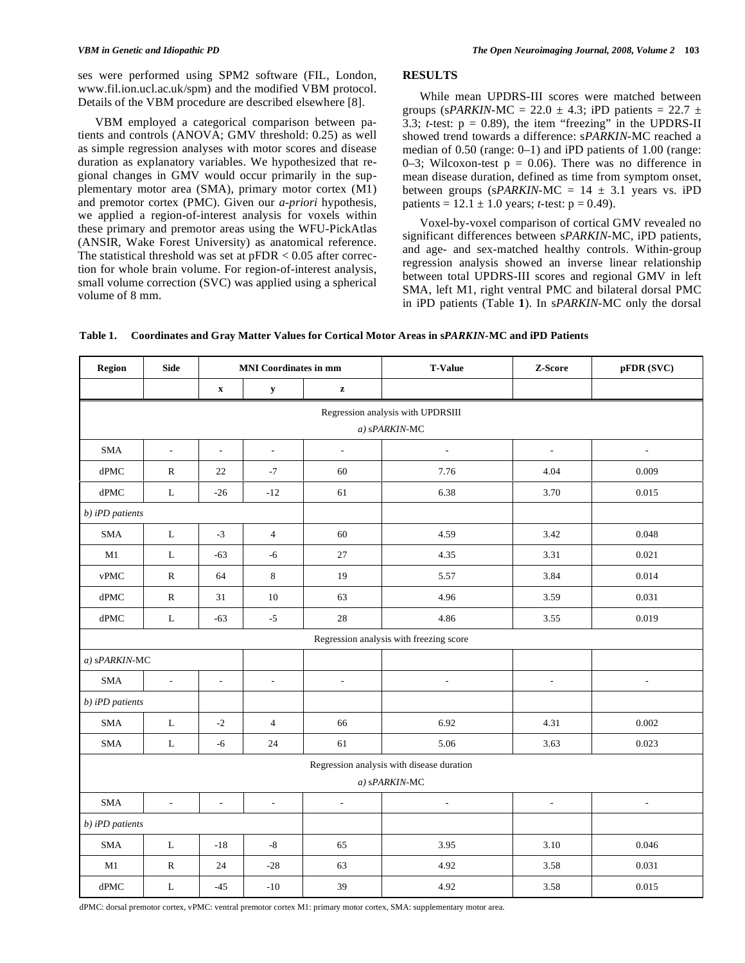ses were performed using SPM2 software (FIL, London, www.fil.ion.ucl.ac.uk/spm) and the modified VBM protocol. Details of the VBM procedure are described elsewhere [8].

 VBM employed a categorical comparison between patients and controls (ANOVA; GMV threshold: 0.25) as well as simple regression analyses with motor scores and disease duration as explanatory variables. We hypothesized that regional changes in GMV would occur primarily in the supplementary motor area (SMA), primary motor cortex (M1) and premotor cortex (PMC). Given our *a-priori* hypothesis, we applied a region-of-interest analysis for voxels within these primary and premotor areas using the WFU-PickAtlas (ANSIR, Wake Forest University) as anatomical reference. The statistical threshold was set at  $pFDR < 0.05$  after correction for whole brain volume. For region-of-interest analysis, small volume correction (SVC) was applied using a spherical volume of 8 mm.

# **RESULTS**

 While mean UPDRS-III scores were matched between groups (sPARKIN-MC = 22.0  $\pm$  4.3; iPD patients = 22.7  $\pm$ 3.3;  $t$ -test:  $p = 0.89$ ), the item "freezing" in the UPDRS-II showed trend towards a difference: s*PARKIN-*MC reached a median of 0.50 (range: 0–1) and iPD patients of 1.00 (range: 0–3; Wilcoxon-test  $p = 0.06$ ). There was no difference in mean disease duration, defined as time from symptom onset, between groups ( $s$ PARKIN-MC = 14  $\pm$  3.1 years vs. iPDpatients =  $12.1 \pm 1.0$  years; *t*-test:  $p = 0.49$ ).

 Voxel-by-voxel comparison of cortical GMV revealed no significant differences between s*PARKIN-*MC, iPD patients, and age- and sex-matched healthy controls. Within-group regression analysis showed an inverse linear relationship between total UPDRS-III scores and regional GMV in left SMA, left M1, right ventral PMC and bilateral dorsal PMC in iPD patients (Table **1**). In s*PARKIN-*MC only the dorsal

**Table 1. Coordinates and Gray Matter Values for Cortical Motor Areas in s***PARKIN-***MC and iPD Patients** 

| Region                                    | <b>Side</b>              | <b>MNI</b> Coordinates in mm |                          |                          | <b>T-Value</b>           | Z-Score                  | pFDR (SVC)               |
|-------------------------------------------|--------------------------|------------------------------|--------------------------|--------------------------|--------------------------|--------------------------|--------------------------|
|                                           |                          | $\boldsymbol{\mathrm{X}}$    | $\mathbf y$              | $\mathbf z$              |                          |                          |                          |
| Regression analysis with UPDRSIII         |                          |                              |                          |                          |                          |                          |                          |
| $a)$ sPARKIN-MC                           |                          |                              |                          |                          |                          |                          |                          |
| <b>SMA</b>                                | $\overline{a}$           | $\overline{a}$               | $\mathcal{L}$            | $\overline{a}$           | $\overline{\phantom{a}}$ | $\overline{a}$           | $\overline{a}$           |
| $\mathrm{dPMC}$                           | ${\bf R}$                | 22                           | $-7$                     | 60                       | 7.76                     | 4.04                     | 0.009                    |
| $\mathrm{dPMC}$                           | $\mathbf L$              | $-26$                        | $-12$                    | 61                       | 6.38                     | 3.70                     | 0.015                    |
| b) iPD patients                           |                          |                              |                          |                          |                          |                          |                          |
| <b>SMA</b>                                | $\mathbf L$              | $-3$                         | $\overline{4}$           | 60                       | 4.59                     | 3.42                     | 0.048                    |
| M1                                        | $\mathbf L$              | $-63$                        | $-6$                     | $27\,$                   | 4.35                     | 3.31                     | 0.021                    |
| ${\tt vPMC}$                              | $\mathbb{R}$             | 64                           | $\,8\,$                  | 19                       | 5.57                     | 3.84                     | 0.014                    |
| $\mathrm{dPMC}$                           | ${\mathbb R}$            | 31                           | $10\,$                   | 63                       | 4.96                     | 3.59                     | 0.031                    |
| $\mathrm{dPMC}$                           | $\mathbf L$              | $-63$                        | $-5$                     | $28\,$                   | 4.86                     | 3.55                     | 0.019                    |
| Regression analysis with freezing score   |                          |                              |                          |                          |                          |                          |                          |
| a) sPARKIN-MC                             |                          |                              |                          |                          |                          |                          |                          |
| <b>SMA</b>                                | $\bar{\phantom{a}}$      | $\overline{\phantom{a}}$     | $\overline{\phantom{a}}$ | $\overline{a}$           | $\overline{\phantom{a}}$ | $\overline{\phantom{a}}$ | $\frac{1}{2}$            |
| b) iPD patients                           |                          |                              |                          |                          |                          |                          |                          |
| <b>SMA</b>                                | L                        | $-2$                         | $\overline{4}$           | 66                       | 6.92                     | 4.31                     | 0.002                    |
| <b>SMA</b>                                | ${\bf L}$                | $-6$                         | 24                       | 61                       | 5.06                     | 3.63                     | 0.023                    |
| Regression analysis with disease duration |                          |                              |                          |                          |                          |                          |                          |
| a) sPARKIN-MC                             |                          |                              |                          |                          |                          |                          |                          |
| $\operatorname{SMA}$                      | $\overline{\phantom{a}}$ | $\overline{\phantom{a}}$     | $\bar{\phantom{a}}$      | $\overline{\phantom{a}}$ | $\overline{\phantom{a}}$ | $\overline{\phantom{a}}$ | $\overline{\phantom{a}}$ |
| b) iPD patients                           |                          |                              |                          |                          |                          |                          |                          |
| <b>SMA</b>                                | $\mathbf L$              | $-18$                        | $-8$                     | 65                       | 3.95                     | 3.10                     | 0.046                    |
| M1                                        | ${\bf R}$                | 24                           | $-28$                    | 63                       | 4.92                     | 3.58                     | 0.031                    |
| dPMC                                      | $\mathbf L$              | $-45$                        | $-10$                    | 39                       | 4.92                     | 3.58                     | 0.015                    |

dPMC: dorsal premotor cortex, vPMC: ventral premotor cortex M1: primary motor cortex, SMA: supplementary motor area.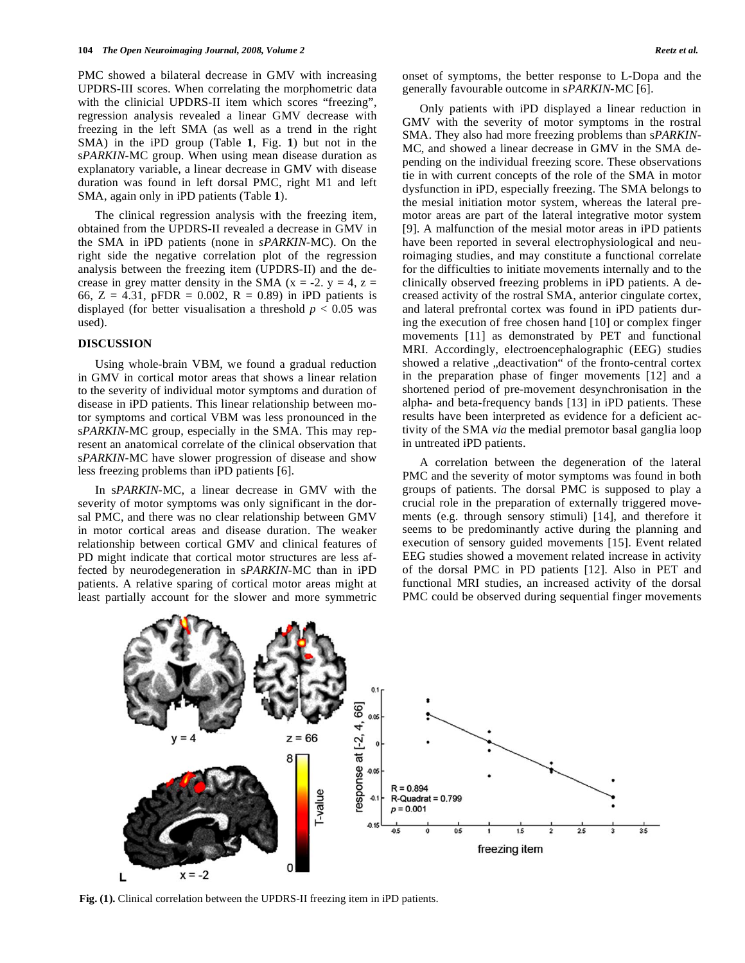PMC showed a bilateral decrease in GMV with increasing UPDRS-III scores. When correlating the morphometric data with the clinicial UPDRS-II item which scores "freezing", regression analysis revealed a linear GMV decrease with freezing in the left SMA (as well as a trend in the right SMA) in the iPD group (Table **1**, Fig. **1**) but not in the s*PARKIN-*MC group. When using mean disease duration as explanatory variable, a linear decrease in GMV with disease duration was found in left dorsal PMC, right M1 and left SMA, again only in iPD patients (Table **1**).

 The clinical regression analysis with the freezing item, obtained from the UPDRS-II revealed a decrease in GMV in the SMA in iPD patients (none in *sPARKIN*-MC). On the right side the negative correlation plot of the regression analysis between the freezing item (UPDRS-II) and the decrease in grey matter density in the SMA ( $x = -2$ ,  $y = 4$ ,  $z =$ 66, Z = 4.31, pFDR = 0.002, R = 0.89) in iPD patients is displayed (for better visualisation a threshold  $p < 0.05$  was used).

#### **DISCUSSION**

 Using whole-brain VBM, we found a gradual reduction in GMV in cortical motor areas that shows a linear relation to the severity of individual motor symptoms and duration of disease in iPD patients. This linear relationship between motor symptoms and cortical VBM was less pronounced in the s*PARKIN-*MC group, especially in the SMA. This may represent an anatomical correlate of the clinical observation that s*PARKIN-*MC have slower progression of disease and show less freezing problems than iPD patients [6].

 In s*PARKIN-*MC, a linear decrease in GMV with the severity of motor symptoms was only significant in the dorsal PMC, and there was no clear relationship between GMV in motor cortical areas and disease duration. The weaker relationship between cortical GMV and clinical features of PD might indicate that cortical motor structures are less affected by neurodegeneration in s*PARKIN-*MC than in iPD patients. A relative sparing of cortical motor areas might at least partially account for the slower and more symmetric onset of symptoms, the better response to L-Dopa and the generally favourable outcome in s*PARKIN-*MC [6].

 Only patients with iPD displayed a linear reduction in GMV with the severity of motor symptoms in the rostral SMA. They also had more freezing problems than s*PARKIN-*MC, and showed a linear decrease in GMV in the SMA depending on the individual freezing score. These observations tie in with current concepts of the role of the SMA in motor dysfunction in iPD, especially freezing. The SMA belongs to the mesial initiation motor system, whereas the lateral premotor areas are part of the lateral integrative motor system [9]. A malfunction of the mesial motor areas in iPD patients have been reported in several electrophysiological and neuroimaging studies, and may constitute a functional correlate for the difficulties to initiate movements internally and to the clinically observed freezing problems in iPD patients. A decreased activity of the rostral SMA, anterior cingulate cortex, and lateral prefrontal cortex was found in iPD patients during the execution of free chosen hand [10] or complex finger movements [11] as demonstrated by PET and functional MRI. Accordingly, electroencephalographic (EEG) studies showed a relative "deactivation" of the fronto-central cortex in the preparation phase of finger movements [12] and a shortened period of pre-movement desynchronisation in the alpha- and beta-frequency bands [13] in iPD patients. These results have been interpreted as evidence for a deficient activity of the SMA *via* the medial premotor basal ganglia loop in untreated iPD patients.

 A correlation between the degeneration of the lateral PMC and the severity of motor symptoms was found in both groups of patients. The dorsal PMC is supposed to play a crucial role in the preparation of externally triggered movements (e.g. through sensory stimuli) [14], and therefore it seems to be predominantly active during the planning and execution of sensory guided movements [15]. Event related EEG studies showed a movement related increase in activity of the dorsal PMC in PD patients [12]. Also in PET and functional MRI studies, an increased activity of the dorsal PMC could be observed during sequential finger movements



**Fig. (1).** Clinical correlation between the UPDRS-II freezing item in iPD patients.